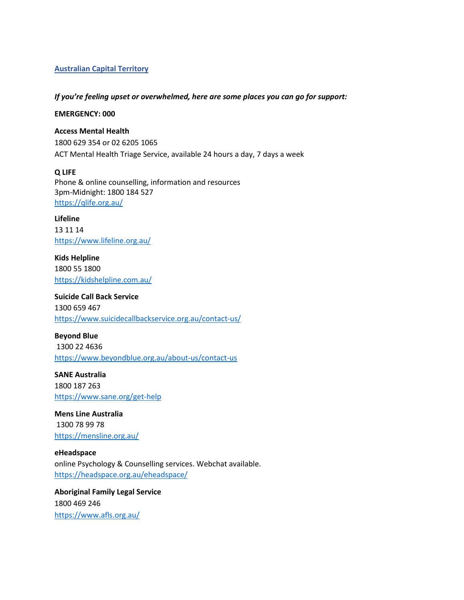## **Australian Capital Territory**

#### *If you're feeling upset or overwhelmed, here are some places you can go for support:*

#### **EMERGENCY: 000**

## **Access Mental Health**

1800 629 354 or 02 6205 1065 ACT Mental Health Triage Service, available 24 hours a day, 7 days a week

#### **Q LIFE**

Phone & online counselling, information and resources 3pm-Midnight: 1800 184 527 <https://qlife.org.au/>

**Lifeline**  13 11 14 <https://www.lifeline.org.au/>

**Kids Helpline** 1800 55 1800 <https://kidshelpline.com.au/>

**Suicide Call Back Service** 1300 659 467 <https://www.suicidecallbackservice.org.au/contact-us/>

**Beyond Blue** 1300 22 4636 <https://www.beyondblue.org.au/about-us/contact-us>

**SANE Australia** 1800 187 263 <https://www.sane.org/get-help>

**Mens Line Australia** 1300 78 99 78 <https://mensline.org.au/>

**eHeadspace** online Psychology & Counselling services. Webchat available. <https://headspace.org.au/eheadspace/>

**Aboriginal Family Legal Service** 1800 469 246 <https://www.afls.org.au/>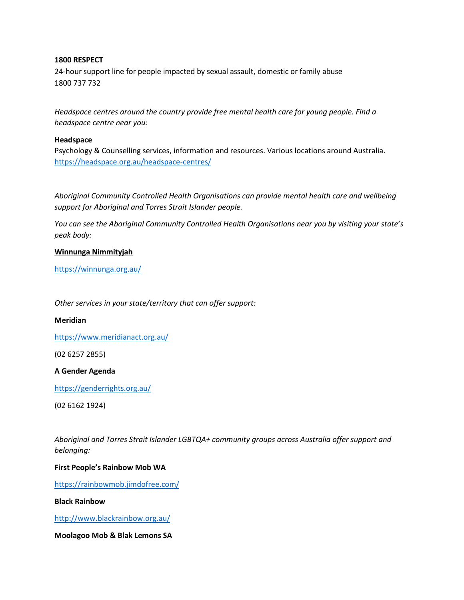## **1800 RESPECT**

24-hour support line for people impacted by sexual assault, domestic or family abuse 1800 737 732

*Headspace centres around the country provide free mental health care for young people. Find a headspace centre near you:*

#### **Headspace**

Psychology & Counselling services, information and resources. Various locations around Australia. <https://headspace.org.au/headspace-centres/>

*Aboriginal Community Controlled Health Organisations can provide mental health care and wellbeing support for Aboriginal and Torres Strait Islander people.* 

*You can see the Aboriginal Community Controlled Health Organisations near you by visiting your state's peak body:*

## **Winnunga Nimmityjah**

<https://winnunga.org.au/>

*Other services in your state/territory that can offer support:*

**Meridian**

<https://www.meridianact.org.au/>

(02 6257 2855)

#### **A Gender Agenda**

<https://genderrights.org.au/>

(02 6162 1924)

*Aboriginal and Torres Strait Islander LGBTQA+ community groups across Australia offer support and belonging:*

## **First People's Rainbow Mob WA**

<https://rainbowmob.jimdofree.com/>

## **Black Rainbow**

<http://www.blackrainbow.org.au/>

**Moolagoo Mob & Blak Lemons SA**